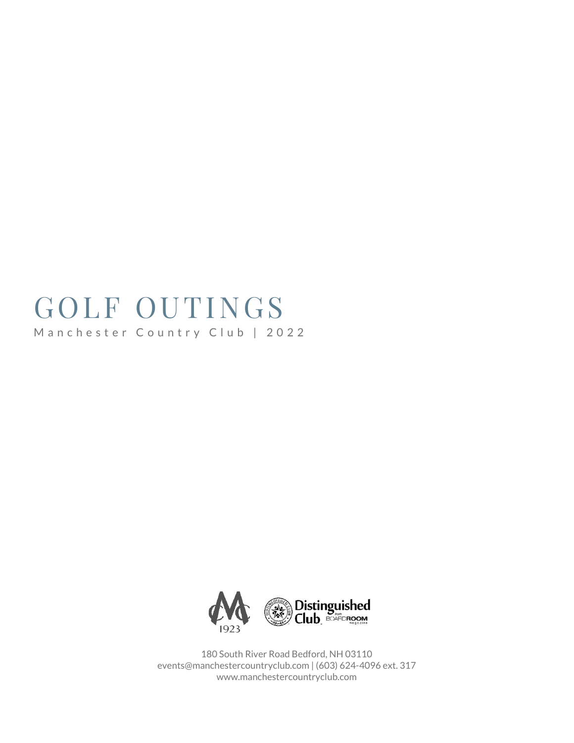# GOLF OUTINGS Manchester Country Club | 2022



180 South River Road Bedford, NH 03110 events@manchestercountryclub.com | (603) 624-4096 ext. 317 www.manchestercountryclub.com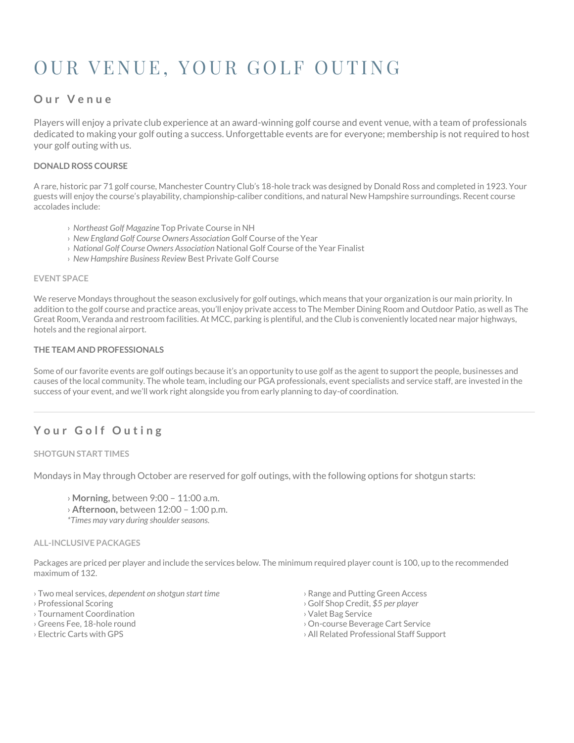# OUR VENUE, YOUR GOLF OUTING

## **O u r V e n u e**

Players will enjoy a private club experience at an award-winning golf course and event venue, with a team of professionals dedicated to making your golf outing a success. Unforgettable events are for everyone; membership is not required to host your golf outing with us.

#### **DONALD ROSS COURSE**

A rare, historic par 71 golf course, Manchester Country Club's 18-hole track was designed by Donald Ross and completed in 1923. Your guests will enjoy the course's playability, championship-caliber conditions, and natural New Hampshire surroundings. Recent course accolades include:

- › *Northeast Golf Magazine* Top Private Course in NH
- › *New England Golf Course Owners Association* Golf Course of the Year
- › *National Golf Course Owners Association* National Golf Course of the Year Finalist
- › *New Hampshire Business Review* Best Private Golf Course

#### **EVENT SPACE**

We reserve Mondays throughout the season exclusively for golf outings, which means that your organization is our main priority. In addition to the golf course and practice areas, you'll enjoy private access to The Member Dining Room and Outdoor Patio, as well as The Great Room, Veranda and restroom facilities. At MCC, parking is plentiful, and the Club is conveniently located near major highways, hotels and the regional airport.

#### **THE TEAM AND PROFESSIONALS**

Some of our favorite events are golf outings because it's an opportunity to use golf as the agent to support the people, businesses and causes of the local community. The whole team, including our PGA professionals, event specialists and service staff, are invested in the success of your event, and we'll work right alongside you from early planning to day-of coordination.

## Your Golf Outing

#### **SHOTGUN START TIMES**

Mondays in May through October are reserved for golf outings, with the following options for shotgun starts:

- › **Morning,** between 9:00 11:00 a.m.
- › **Afternoon,** between 12:00 1:00 p.m.
- *\*Times may vary during shoulder seasons.*

#### **ALL-INCLUSIVE PACKAGES**

Packages are priced per player and include the services below. The minimum required player count is 100, up to the recommended maximum of 132.

- › Two meal services, *dependent on shotgun start time*
- › Professional Scoring
- › Tournament Coordination
- › Greens Fee, 18-hole round
- › Electric Carts with GPS
- › Range and Putting Green Access
- › Golf Shop Credit, *\$5 per player*
- › Valet Bag Service
- › On-course Beverage Cart Service
- › All Related Professional Staff Support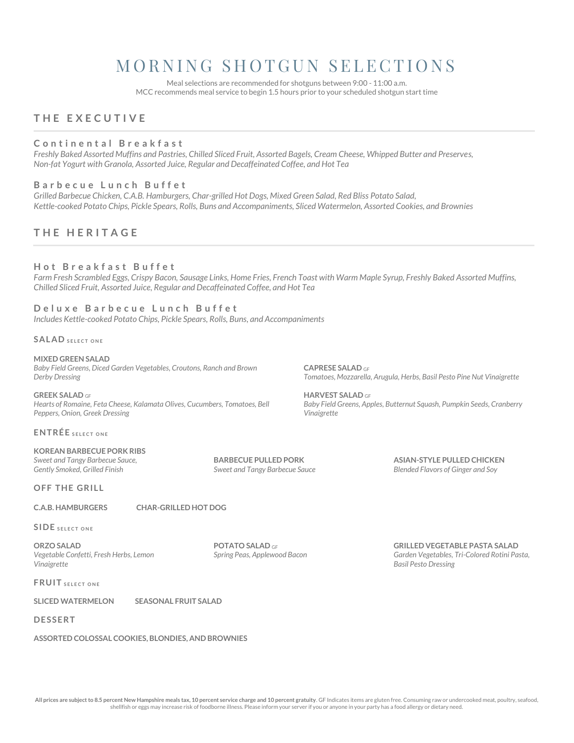## MORNING SHOTGUN SELECTIONS

Meal selections are recommended for shotguns between 9:00 - 11:00 a.m. MCC recommends meal service to begin 1.5 hours prior to your scheduled shotgun start time

### **T H E E X E C U T I V E**

#### **C o n t i n e n t a l B r e a k f a s t**

*Freshly Baked Assorted Muffins and Pastries, Chilled Sliced Fruit, Assorted Bagels, Cream Cheese, Whipped Butter and Preserves, Non-fat Yogurt with Granola, Assorted Juice, Regular and Decaffeinated Coffee, and Hot Tea*

#### **B a r b e c u e L u n c h B u f f e t**

*Grilled Barbecue Chicken, C.A.B. Hamburgers, Char-grilled Hot Dogs, Mixed Green Salad, Red Bliss Potato Salad, Kettle-cooked Potato Chips, Pickle Spears, Rolls, Buns and Accompaniments, Sliced Watermelon, Assorted Cookies, and Brownies*

### **T H E H E R I T A G E**

#### **H o t B r e a k f a s t B u f f e t**

*Farm Fresh Scrambled Eggs, Crispy Bacon, Sausage Links, Home Fries, French Toast with Warm Maple Syrup, Freshly Baked Assorted Muffins, Chilled Sliced Fruit, Assorted Juice, Regular and Decaffeinated Coffee, and Hot Tea*

**CAPRESE SALAD** GF

**HARVEST SALAD** GF

*Vinaigrette* 

#### **D e l u x e B a r b e c u e L u n c h B u f f e t** *Includes Kettle-cooked Potato Chips, Pickle Spears, Rolls, Buns, and Accompaniments*

**SALAD SELECT ONE** 

#### **MIXED GREEN SALAD** *Baby Field Greens, Diced Garden Vegetables, Croutons, Ranch and Brown Derby Dressing*

**GREEK SALAD** GF *Hearts of Romaine, Feta Cheese, Kalamata Olives, Cucumbers, Tomatoes, Bell Peppers, Onion, Greek Dressing*

#### **ENTRÉE** SELECT ONE

#### **KOREAN BARBECUE PORK RIBS** *Sweet and Tangy Barbecue Sauce, Gently Smoked, Grilled Finish*

**OFF THE GRILL** 

#### **C.A.B. HAMBURGERS CHAR-GRILLED HOT DOG**

**SIDE** SELECT ONE

**ORZO SALAD**  *Vegetable Confetti, Fresh Herbs, Lemon Vinaigrette*

**POTATO SALAD** GF *Spring Peas, Applewood Bacon*

**BARBECUE PULLED PORK** *Sweet and Tangy Barbecue Sauce*

**GRILLED VEGETABLE PASTA SALAD** 

**ASIAN-STYLE PULLED CHICKEN** *Blended Flavors of Ginger and Soy*

*Tomatoes, Mozzarella, Arugula, Herbs, Basil Pesto Pine Nut Vinaigrette* 

*Baby Field Greens, Apples, Butternut Squash, Pumpkin Seeds, Cranberry* 

*Garden Vegetables, Tri-Colored Rotini Pasta, Basil Pesto Dressing*

**FRUIT** SELECT ONE

**SLICED WATERMELON SEASONAL FRUIT SALAD**

#### **D E S S E R T**

#### **ASSORTED COLOSSAL COOKIES, BLONDIES, AND BROWNIES**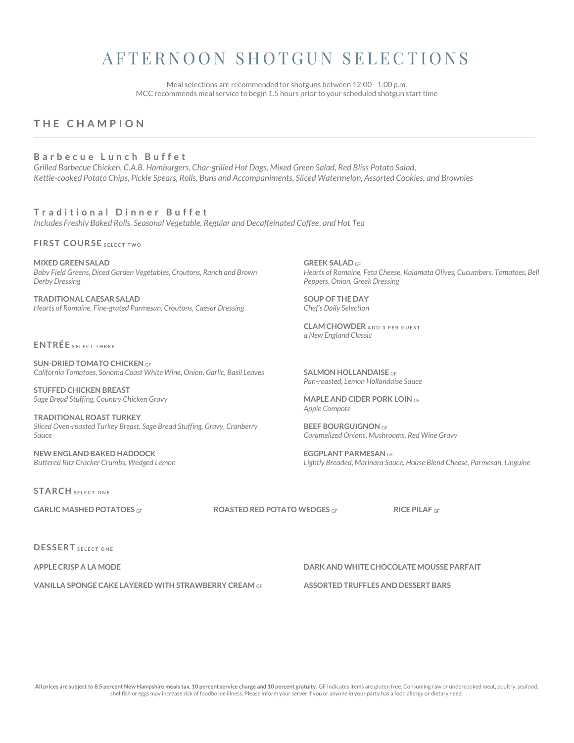## A F T E R N O O N S H O T G U N S E L E C T I O N S

Meal selections are recommended for shotguns between 12:00 - 1:00 p.m. MCC recommends meal service to begin 1.5 hours prior to your scheduled shotgun start time

## **T H E C H A M P I O N**

#### **B a r b e c u e L u n c h B u f f e t**

*Grilled Barbecue Chicken, C.A.B. Hamburgers, Char-grilled Hot Dogs, Mixed Green Salad, Red Bliss Potato Salad, Kettle-cooked Potato Chips, Pickle Spears, Rolls, Buns and Accompaniments, Sliced Watermelon, Assorted Cookies, and Brownies*

**T r a d i t i o n a l D i n n e r B u f f e t** *Includes Freshly Baked Rolls, Seasonal Vegetable, Regular and Decaffeinated Coffee, and Hot Tea*

**F I R S T C O U R S E S E L E C T TWO**

**MIXED GREEN SALAD** *Baby Field Greens, Diced Garden Vegetables, Croutons, Ranch and Brown Derby Dressing*

**TRADITIONAL CAESAR SALAD** *Hearts of Romaine, Fine-grated Parmesan, Croutons, Caesar Dressing*

**ENTRÉE** SELECT THREE

**SUN-DRIED TOMATO CHICKEN** GF *California Tomatoes, Sonoma Coast White Wine, Onion, Garlic, Basil Leaves*

**STUFFED CHICKEN BREAST** *Sage Bread Stuffing, Country Chicken Gravy*

**TRADITIONAL ROAST TURKEY** *Sliced Oven-roasted Turkey Breast, Sage Bread Stuffing, Gravy, Cranberry Sauce*

**NEW ENGLAND BAKED HADDOCK** *Buttered Ritz Cracker Crumbs, Wedged Lemon*

**STARCH** SELECT ONE

**GARLIC MASHED POTATOES** GF **ROASTED RED POTATO WEDGES** GF **RICE PILAF** GF

**DESSERT** SELECT ONE

**VANILLA SPONGE CAKE LAYERED WITH STRAWBERRY CREAM** GF **ASSORTED TRUFFLES AND DESSERT BARS**

**APPLE CRISP A LA MODE DARK AND WHITE CHOCOLATE MOUSSE PARFAIT**

**GREEK SALAD** GF *Hearts of Romaine, Feta Cheese, Kalamata Olives, Cucumbers, Tomatoes, Bell Peppers, Onion, Greek Dressing*

**SOUP OF THE DAY** *Chef's Daily Selection*

**CLAM CHOWDER** ADD 3 PER GUEST *a New England Classic* 

**SALMON HOLLANDAISE** GF *Pan-roasted, Lemon Hollandaise Sauce*

**MAPLE AND CIDER PORK LOIN** GF *Apple Compote*

**BEEF BOURGUIGNON** GF *Caramelized Onions, Mushrooms, Red Wine Gravy*

**EGGPLANT PARMESAN** GF *Lightly Breaded, Marinara Sauce, House Blend Cheese, Parmesan, Linguine*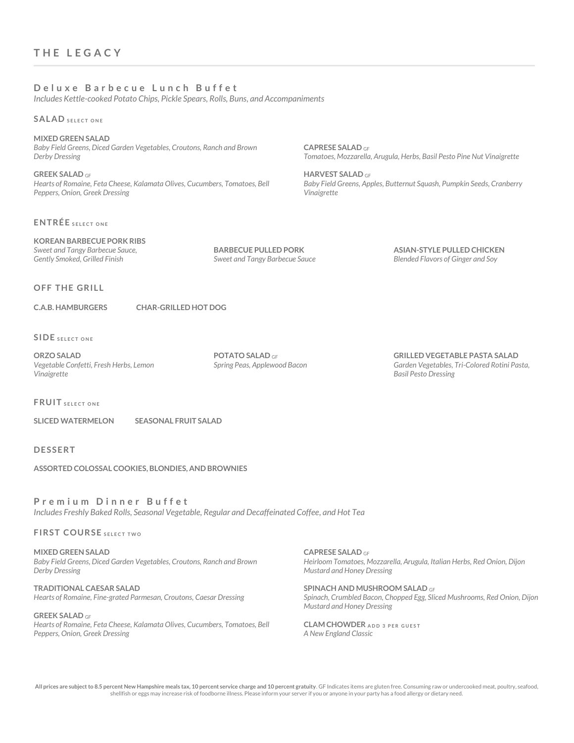#### **D e l u x e B a r b e c u e L u n c h B u f f e t**

*Includes Kettle-cooked Potato Chips, Pickle Spears, Rolls, Buns, and Accompaniments* 

**SALAD SELECT ONE** 

**MIXED GREEN SALAD** *Baby Field Greens, Diced Garden Vegetables, Croutons, Ranch and Brown Derby Dressing*

**GREEK SALAD** GF *Hearts of Romaine, Feta Cheese, Kalamata Olives, Cucumbers, Tomatoes, Bell Peppers, Onion, Greek Dressing*

**ENTRÉE** SELECT ONE

#### **KOREAN BARBECUE PORK RIBS** *Sweet and Tangy Barbecue Sauce, Gently Smoked, Grilled Finish*

**BARBECUE PULLED PORK** *Sweet and Tangy Barbecue Sauce*

**CAPRESE SALAD** GF

**HARVEST SALAD** GF

*Vinaigrette* 

**ASIAN-STYLE PULLED CHICKEN** *Blended Flavors of Ginger and Soy*

*Tomatoes, Mozzarella, Arugula, Herbs, Basil Pesto Pine Nut Vinaigrette* 

*Baby Field Greens, Apples, Butternut Squash, Pumpkin Seeds, Cranberry* 

**OFF THE GRILL** 

#### **C.A.B. HAMBURGERS CHAR-GRILLED HOT DOG**

**SIDE** SELECT ONE

**ORZO SALAD**  *Vegetable Confetti, Fresh Herbs, Lemon Vinaigrette*

**POTATO SALAD** GF *Spring Peas, Applewood Bacon* **GRILLED VEGETABLE PASTA SALAD**  *Garden Vegetables, Tri-Colored Rotini Pasta, Basil Pesto Dressing*

**FRUIT** SELECT ONE

**SLICED WATERMELON SEASONAL FRUIT SALAD**

**D E S S E R T**

**ASSORTED COLOSSAL COOKIES, BLONDIES, AND BROWNIES**

**P r e m i u m D i n n e r B u f f e t** *Includes Freshly Baked Rolls, Seasonal Vegetable, Regular and Decaffeinated Coffee, and Hot Tea*

**FIRST COURSE SELECT TWO** 

**MIXED GREEN SALAD** *Baby Field Greens, Diced Garden Vegetables, Croutons, Ranch and Brown Derby Dressing*

**TRADITIONAL CAESAR SALAD** *Hearts of Romaine, Fine-grated Parmesan, Croutons, Caesar Dressing*

**GREEK SALAD** GF *Hearts of Romaine, Feta Cheese, Kalamata Olives, Cucumbers, Tomatoes, Bell Peppers, Onion, Greek Dressing*

**CAPRESE SALAD** GF *Heirloom Tomatoes, Mozzarella, Arugula, Italian Herbs, Red Onion, Dijon Mustard and Honey Dressing* 

**SPINACH AND MUSHROOM SALAD** GF *Spinach, Crumbled Bacon, Chopped Egg, Sliced Mushrooms, Red Onion, Dijon Mustard and Honey Dressing*

**CLAM CHOWDER** ADD 3 PER GUEST *A New England Classic*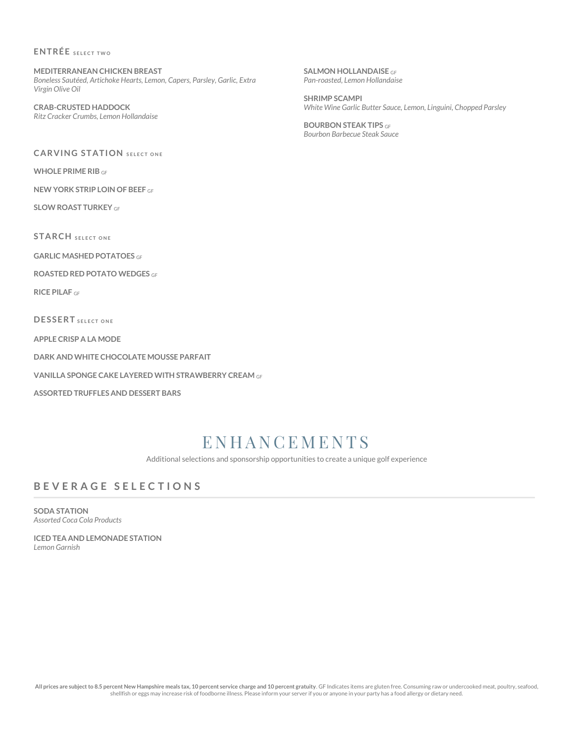#### **ENTRÉE** SELECT TWO

**MEDITERRANEAN CHICKEN BREAST** *Boneless Sautéed, Artichoke Hearts, Lemon, Capers, Parsley, Garlic, Extra Virgin Olive Oil*

**CRAB-CRUSTED HADDOCK** *Ritz Cracker Crumbs, Lemon Hollandaise*

**CARVING STATION** SELECT ONE

**WHOLE PRIME RIB** GF

**NEW YORK STRIP LOIN OF BEEF** GF

**SLOW ROAST TURKEY** GF

**STARCH** SELECT ONE

**GARLIC MASHED POTATOES** GF

**ROASTED RED POTATO WEDGES** GF

**RICE PILAF** GF

**D E S S E R T S E L E C T O N E**

**APPLE CRISP A LA MODE**

**DARK AND WHITE CHOCOLATE MOUSSE PARFAIT**

**VANILLA SPONGE CAKE LAYERED WITH STRAWBERRY CREAM** GF

**ASSORTED TRUFFLES AND DESSERT BARS**

## **ENHANCEMENTS**

Additional selections and sponsorship opportunities to create a unique golf experience

## **B E V E R A G E S E L E C T I O N S**

**SODA STATION** *Assorted Coca Cola Products* 

**ICED TEA AND LEMONADE STATION** *Lemon Garnish*

**SALMON HOLLANDAISE** GF *Pan-roasted, Lemon Hollandaise* 

**SHRIMP SCAMPI** *White Wine Garlic Butter Sauce, Lemon, Linguini, Chopped Parsley*

**BOURBON STEAK TIPS** GF *Bourbon Barbecue Steak Sauce*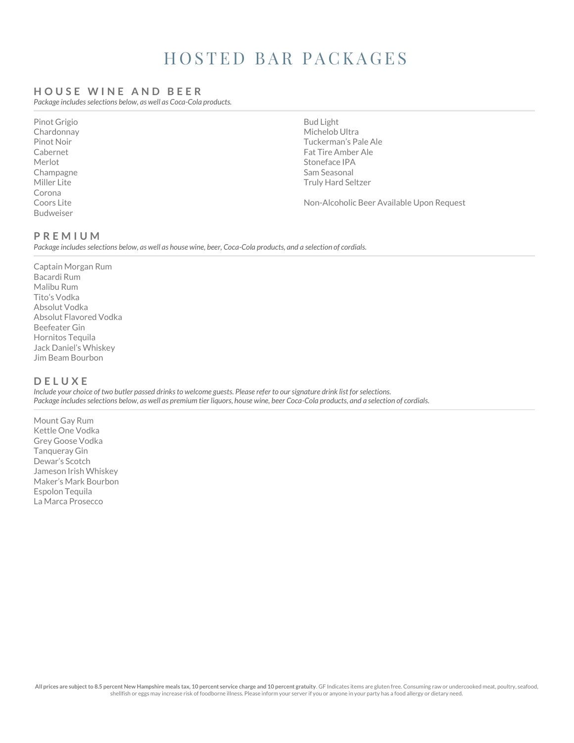## HOSTED BAR PACKAGES

#### **H O U S E W I N E A N D B E E R**

*Package includes selections below, as well as Coca-Cola products.*

Pinot Grigio Chardonnay Pinot Noir Cabernet Merlot Champagne Miller Lite Corona Coors Lite Budweiser

Bud Light Michelob Ultra Tuckerman's Pale Ale Fat Tire Amber Ale Stoneface IPA Sam Seasonal Truly Hard Seltzer

Non-Alcoholic Beer Available Upon Request

#### **P R E M I U M**

*Package includes selections below, as well as house wine, beer, Coca-Cola products, and a selection of cordials.*

Captain Morgan Rum Bacardi Rum Malibu Rum Tito's Vodka Absolut Vodka Absolut Flavored Vodka Beefeater Gin Hornitos Tequila Jack Daniel's Whiskey Jim Beam Bourbon

### **D E L U X E**

*Include your choice of two butler passed drinks to welcome guests. Please refer to our signature drink list for selections. Package includes selections below, as well as premium tier liquors, house wine, beer Coca-Cola products, and a selection of cordials.*

Mount Gay Rum Kettle One Vodka Grey Goose Vodka Tanqueray Gin Dewar's Scotch Jameson Irish Whiskey Maker's Mark Bourbon Espolon Tequila La Marca Prosecco